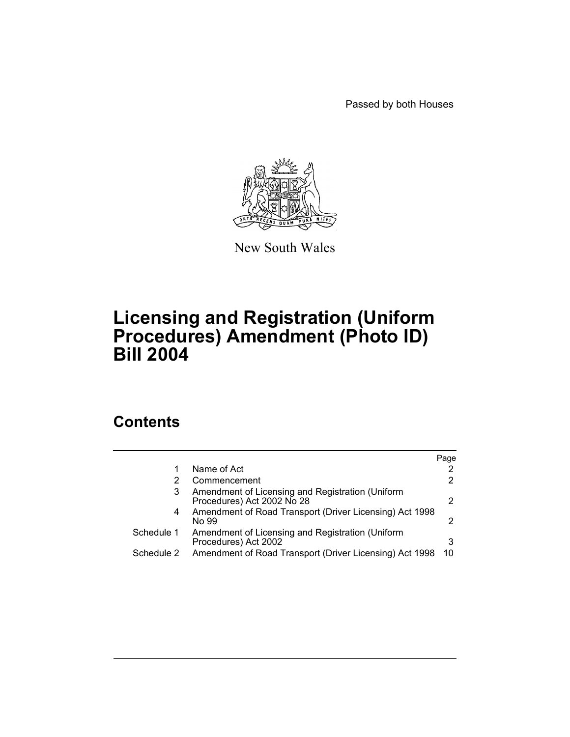Passed by both Houses



New South Wales

## **Licensing and Registration (Uniform Procedures) Amendment (Photo ID) Bill 2004**

## **Contents**

|            |                                                                                | Page |
|------------|--------------------------------------------------------------------------------|------|
|            | Name of Act                                                                    |      |
|            | Commencement                                                                   |      |
| 3          | Amendment of Licensing and Registration (Uniform<br>Procedures) Act 2002 No 28 | 2    |
| 4          | Amendment of Road Transport (Driver Licensing) Act 1998<br>No 99               | 2    |
| Schedule 1 | Amendment of Licensing and Registration (Uniform<br>Procedures) Act 2002       | 3    |
| Schedule 2 | Amendment of Road Transport (Driver Licensing) Act 1998                        | 10   |
|            |                                                                                |      |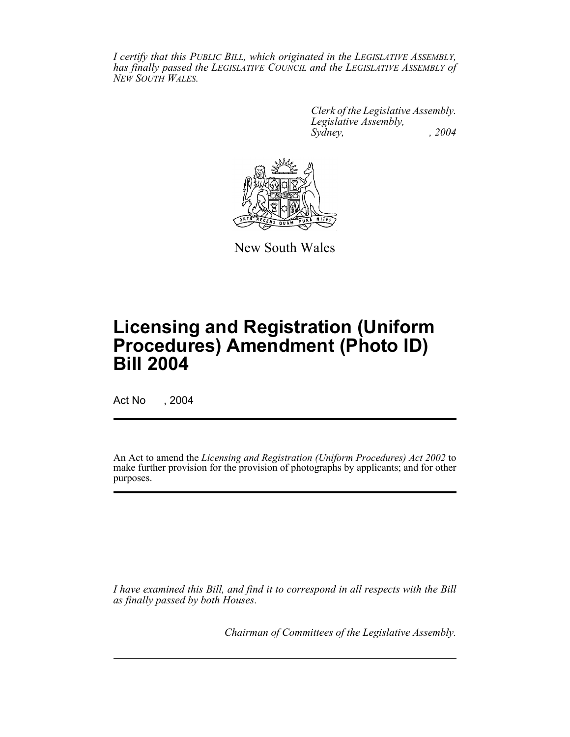*I certify that this PUBLIC BILL, which originated in the LEGISLATIVE ASSEMBLY, has finally passed the LEGISLATIVE COUNCIL and the LEGISLATIVE ASSEMBLY of NEW SOUTH WALES.*

> *Clerk of the Legislative Assembly. Legislative Assembly, Sydney, , 2004*



New South Wales

# **Licensing and Registration (Uniform Procedures) Amendment (Photo ID) Bill 2004**

Act No , 2004

An Act to amend the *Licensing and Registration (Uniform Procedures) Act 2002* to make further provision for the provision of photographs by applicants; and for other purposes.

*I have examined this Bill, and find it to correspond in all respects with the Bill as finally passed by both Houses.*

*Chairman of Committees of the Legislative Assembly.*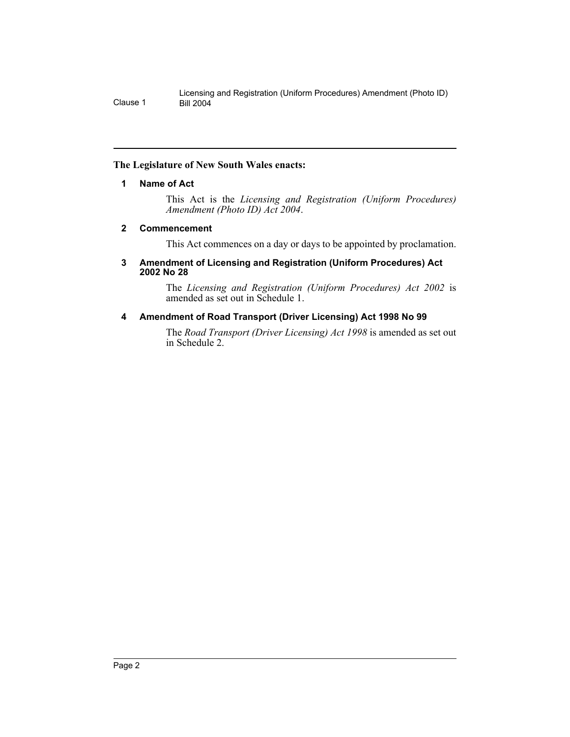#### **The Legislature of New South Wales enacts:**

#### **1 Name of Act**

This Act is the *Licensing and Registration (Uniform Procedures) Amendment (Photo ID) Act 2004*.

#### **2 Commencement**

This Act commences on a day or days to be appointed by proclamation.

#### **3 Amendment of Licensing and Registration (Uniform Procedures) Act 2002 No 28**

The *Licensing and Registration (Uniform Procedures) Act 2002* is amended as set out in Schedule 1.

#### **4 Amendment of Road Transport (Driver Licensing) Act 1998 No 99**

The *Road Transport (Driver Licensing) Act 1998* is amended as set out in Schedule 2.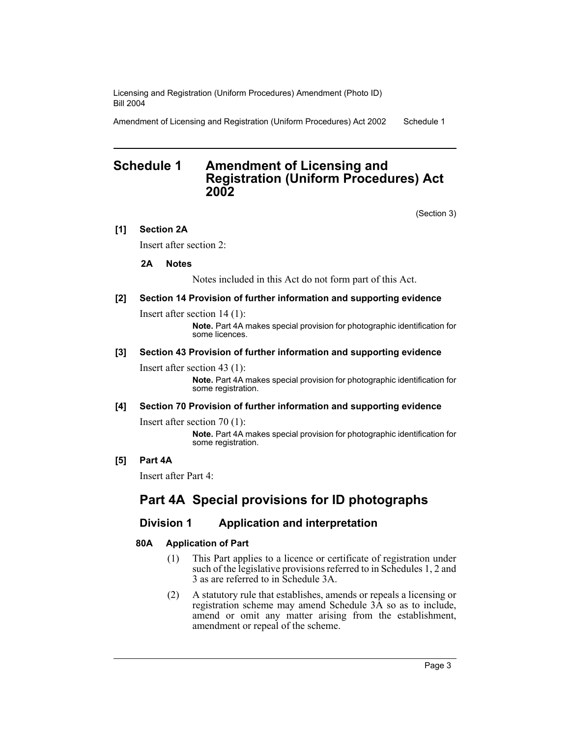Amendment of Licensing and Registration (Uniform Procedures) Act 2002 Schedule 1

### **Schedule 1 Amendment of Licensing and Registration (Uniform Procedures) Act 2002**

(Section 3)

#### **[1] Section 2A**

Insert after section 2:

#### **2A Notes**

Notes included in this Act do not form part of this Act.

#### **[2] Section 14 Provision of further information and supporting evidence**

Insert after section 14 (1):

**Note.** Part 4A makes special provision for photographic identification for some licences.

#### **[3] Section 43 Provision of further information and supporting evidence**

Insert after section 43 (1):

**Note.** Part 4A makes special provision for photographic identification for some registration.

#### **[4] Section 70 Provision of further information and supporting evidence**

Insert after section 70 (1):

**Note.** Part 4A makes special provision for photographic identification for some registration.

#### **[5] Part 4A**

Insert after Part 4:

## **Part 4A Special provisions for ID photographs**

#### **Division 1 Application and interpretation**

#### **80A Application of Part**

- (1) This Part applies to a licence or certificate of registration under such of the legislative provisions referred to in Schedules 1, 2 and 3 as are referred to in Schedule 3A.
- (2) A statutory rule that establishes, amends or repeals a licensing or registration scheme may amend Schedule 3A so as to include, amend or omit any matter arising from the establishment, amendment or repeal of the scheme.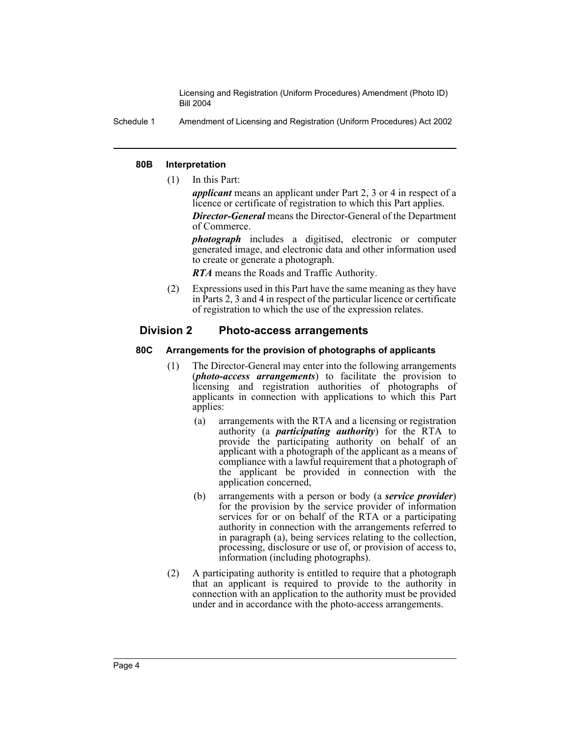Schedule 1 Amendment of Licensing and Registration (Uniform Procedures) Act 2002

#### **80B Interpretation**

(1) In this Part:

*applicant* means an applicant under Part 2, 3 or 4 in respect of a licence or certificate of registration to which this Part applies.

*Director-General* means the Director-General of the Department of Commerce.

*photograph* includes a digitised, electronic or computer generated image, and electronic data and other information used to create or generate a photograph.

*RTA* means the Roads and Traffic Authority.

(2) Expressions used in this Part have the same meaning as they have in Parts 2, 3 and 4 in respect of the particular licence or certificate of registration to which the use of the expression relates.

#### **Division 2 Photo-access arrangements**

#### **80C Arrangements for the provision of photographs of applicants**

- (1) The Director-General may enter into the following arrangements (*photo-access arrangements*) to facilitate the provision to licensing and registration authorities of photographs of applicants in connection with applications to which this Part applies:
	- (a) arrangements with the RTA and a licensing or registration authority (a *participating authority*) for the RTA to provide the participating authority on behalf of an applicant with a photograph of the applicant as a means of compliance with a lawful requirement that a photograph of the applicant be provided in connection with the application concerned,
	- (b) arrangements with a person or body (a *service provider*) for the provision by the service provider of information services for or on behalf of the RTA or a participating authority in connection with the arrangements referred to in paragraph (a), being services relating to the collection, processing, disclosure or use of, or provision of access to, information (including photographs).
- (2) A participating authority is entitled to require that a photograph that an applicant is required to provide to the authority in connection with an application to the authority must be provided under and in accordance with the photo-access arrangements.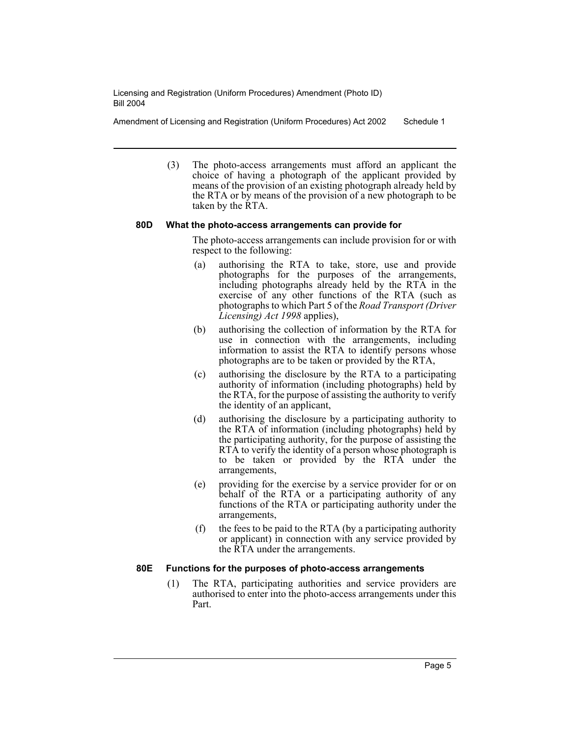Amendment of Licensing and Registration (Uniform Procedures) Act 2002 Schedule 1

(3) The photo-access arrangements must afford an applicant the choice of having a photograph of the applicant provided by means of the provision of an existing photograph already held by the RTA or by means of the provision of a new photograph to be taken by the RTA.

#### **80D What the photo-access arrangements can provide for**

The photo-access arrangements can include provision for or with respect to the following:

- (a) authorising the RTA to take, store, use and provide photographs for the purposes of the arrangements, including photographs already held by the RTA in the exercise of any other functions of the RTA (such as photographs to which Part 5 of the *Road Transport (Driver Licensing) Act 1998* applies),
- (b) authorising the collection of information by the RTA for use in connection with the arrangements, including information to assist the RTA to identify persons whose photographs are to be taken or provided by the RTA,
- (c) authorising the disclosure by the RTA to a participating authority of information (including photographs) held by the RTA, for the purpose of assisting the authority to verify the identity of an applicant,
- (d) authorising the disclosure by a participating authority to the RTA of information (including photographs) held by the participating authority, for the purpose of assisting the RTA to verify the identity of a person whose photograph is to be taken or provided by the RTA under the arrangements,
- (e) providing for the exercise by a service provider for or on behalf of the RTA or a participating authority of any functions of the RTA or participating authority under the arrangements,
- (f) the fees to be paid to the RTA (by a participating authority or applicant) in connection with any service provided by the RTA under the arrangements.

#### **80E Functions for the purposes of photo-access arrangements**

(1) The RTA, participating authorities and service providers are authorised to enter into the photo-access arrangements under this Part.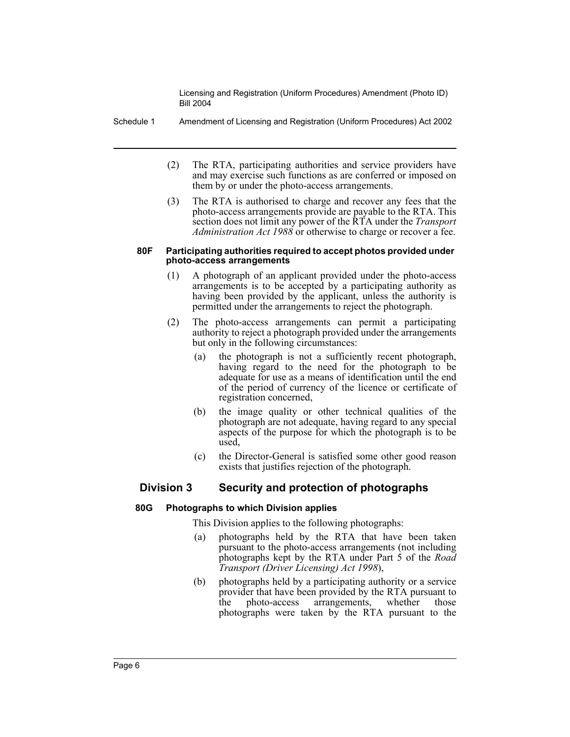Schedule 1 Amendment of Licensing and Registration (Uniform Procedures) Act 2002

- (2) The RTA, participating authorities and service providers have and may exercise such functions as are conferred or imposed on them by or under the photo-access arrangements.
- (3) The RTA is authorised to charge and recover any fees that the photo-access arrangements provide are payable to the RTA. This section does not limit any power of the RTA under the *Transport Administration Act 1988* or otherwise to charge or recover a fee.

#### **80F Participating authorities required to accept photos provided under photo-access arrangements**

- (1) A photograph of an applicant provided under the photo-access arrangements is to be accepted by a participating authority as having been provided by the applicant, unless the authority is permitted under the arrangements to reject the photograph.
- (2) The photo-access arrangements can permit a participating authority to reject a photograph provided under the arrangements but only in the following circumstances:
	- (a) the photograph is not a sufficiently recent photograph, having regard to the need for the photograph to be adequate for use as a means of identification until the end of the period of currency of the licence or certificate of registration concerned,
	- (b) the image quality or other technical qualities of the photograph are not adequate, having regard to any special aspects of the purpose for which the photograph is to be used,
	- (c) the Director-General is satisfied some other good reason exists that justifies rejection of the photograph.

#### **Division 3 Security and protection of photographs**

#### **80G Photographs to which Division applies**

This Division applies to the following photographs:

- (a) photographs held by the RTA that have been taken pursuant to the photo-access arrangements (not including photographs kept by the RTA under Part 5 of the *Road Transport (Driver Licensing) Act 1998*),
- (b) photographs held by a participating authority or a service provider that have been provided by the RTA pursuant to the photo-access arrangements, whether those photographs were taken by the RTA pursuant to the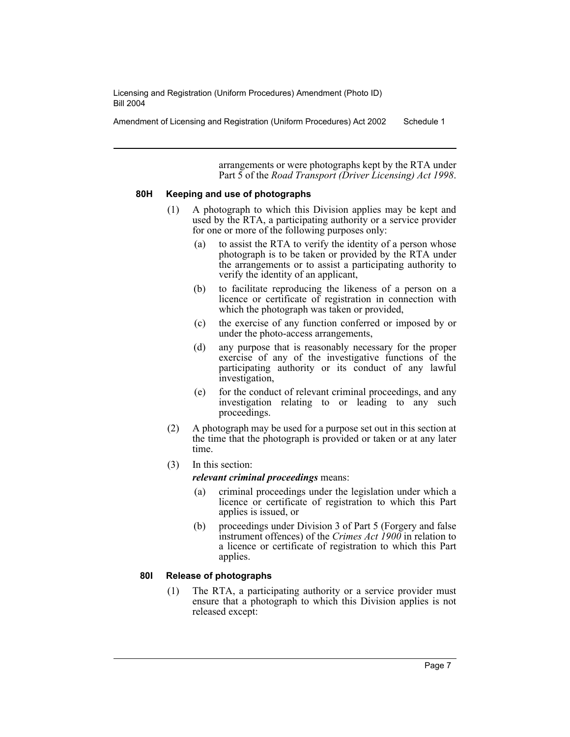Amendment of Licensing and Registration (Uniform Procedures) Act 2002 Schedule 1

arrangements or were photographs kept by the RTA under Part 5 of the *Road Transport (Driver Licensing) Act 1998*.

#### **80H Keeping and use of photographs**

- (1) A photograph to which this Division applies may be kept and used by the RTA, a participating authority or a service provider for one or more of the following purposes only:
	- (a) to assist the RTA to verify the identity of a person whose photograph is to be taken or provided by the RTA under the arrangements or to assist a participating authority to verify the identity of an applicant,
	- (b) to facilitate reproducing the likeness of a person on a licence or certificate of registration in connection with which the photograph was taken or provided,
	- (c) the exercise of any function conferred or imposed by or under the photo-access arrangements,
	- (d) any purpose that is reasonably necessary for the proper exercise of any of the investigative functions of the participating authority or its conduct of any lawful investigation,
	- (e) for the conduct of relevant criminal proceedings, and any investigation relating to or leading to any such proceedings.
- (2) A photograph may be used for a purpose set out in this section at the time that the photograph is provided or taken or at any later time.
- (3) In this section:

*relevant criminal proceedings* means:

- (a) criminal proceedings under the legislation under which a licence or certificate of registration to which this Part applies is issued, or
- (b) proceedings under Division 3 of Part 5 (Forgery and false instrument offences) of the *Crimes Act 1900* in relation to a licence or certificate of registration to which this Part applies.

#### **80I Release of photographs**

(1) The RTA, a participating authority or a service provider must ensure that a photograph to which this Division applies is not released except: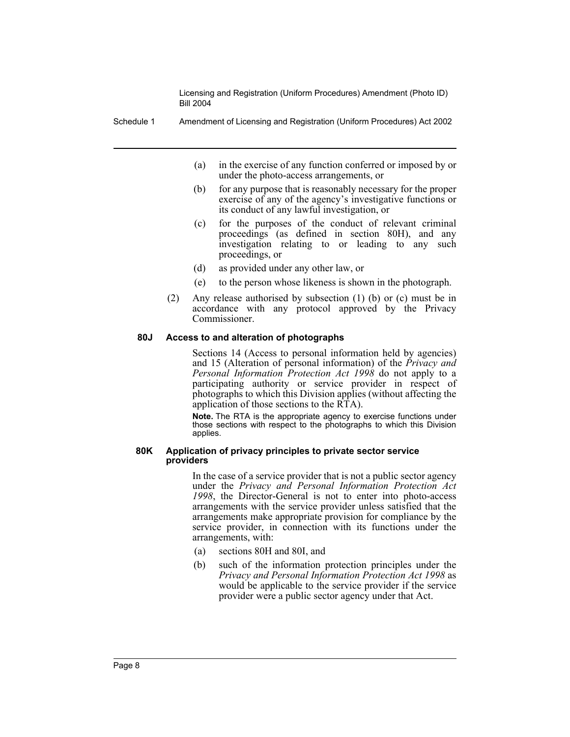Schedule 1 Amendment of Licensing and Registration (Uniform Procedures) Act 2002

- (a) in the exercise of any function conferred or imposed by or under the photo-access arrangements, or
- (b) for any purpose that is reasonably necessary for the proper exercise of any of the agency's investigative functions or its conduct of any lawful investigation, or
- (c) for the purposes of the conduct of relevant criminal proceedings (as defined in section 80H), and any investigation relating to or leading to any such proceedings, or
- (d) as provided under any other law, or
- (e) to the person whose likeness is shown in the photograph.
- (2) Any release authorised by subsection (1) (b) or (c) must be in accordance with any protocol approved by the Privacy Commissioner.

#### **80J Access to and alteration of photographs**

Sections 14 (Access to personal information held by agencies) and 15 (Alteration of personal information) of the *Privacy and Personal Information Protection Act 1998* do not apply to a participating authority or service provider in respect of photographs to which this Division applies (without affecting the application of those sections to the RTA).

**Note.** The RTA is the appropriate agency to exercise functions under those sections with respect to the photographs to which this Division applies.

#### **80K Application of privacy principles to private sector service providers**

In the case of a service provider that is not a public sector agency under the *Privacy and Personal Information Protection Act 1998*, the Director-General is not to enter into photo-access arrangements with the service provider unless satisfied that the arrangements make appropriate provision for compliance by the service provider, in connection with its functions under the arrangements, with:

- (a) sections 80H and 80I, and
- (b) such of the information protection principles under the *Privacy and Personal Information Protection Act 1998* as would be applicable to the service provider if the service provider were a public sector agency under that Act.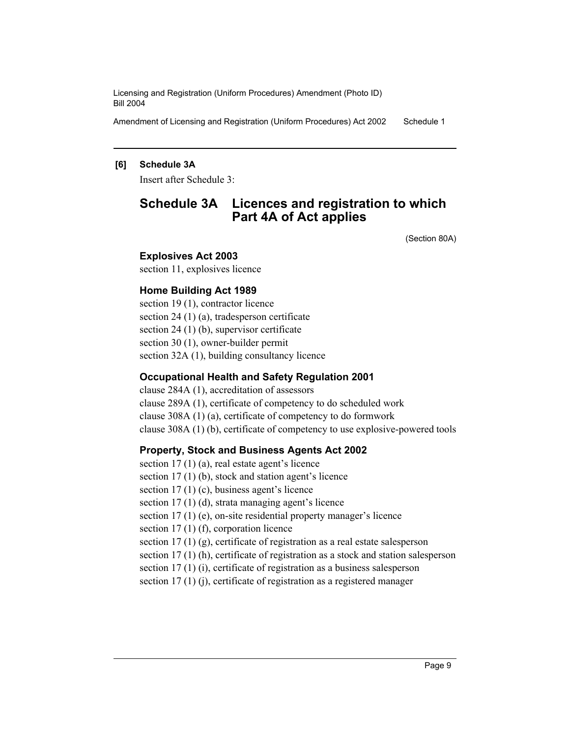Amendment of Licensing and Registration (Uniform Procedures) Act 2002 Schedule 1

#### **[6] Schedule 3A**

Insert after Schedule 3:

## **Schedule 3A Licences and registration to which Part 4A of Act applies**

(Section 80A)

#### **Explosives Act 2003**

section 11, explosives licence

#### **Home Building Act 1989**

section 19 (1), contractor licence section 24 (1) (a), tradesperson certificate section 24 (1) (b), supervisor certificate section 30 (1), owner-builder permit section 32A (1), building consultancy licence

#### **Occupational Health and Safety Regulation 2001**

clause 284A (1), accreditation of assessors clause 289A (1), certificate of competency to do scheduled work clause 308A (1) (a), certificate of competency to do formwork clause 308A (1) (b), certificate of competency to use explosive-powered tools

#### **Property, Stock and Business Agents Act 2002**

section 17 (1) (a), real estate agent's licence section 17 (1) (b), stock and station agent's licence section 17 (1) (c), business agent's licence section 17 (1) (d), strata managing agent's licence section 17 (1) (e), on-site residential property manager's licence section 17 (1) (f), corporation licence section 17 (1) (g), certificate of registration as a real estate salesperson section 17 (1) (h), certificate of registration as a stock and station salesperson section 17 (1) (i), certificate of registration as a business salesperson section 17 (1) (j), certificate of registration as a registered manager